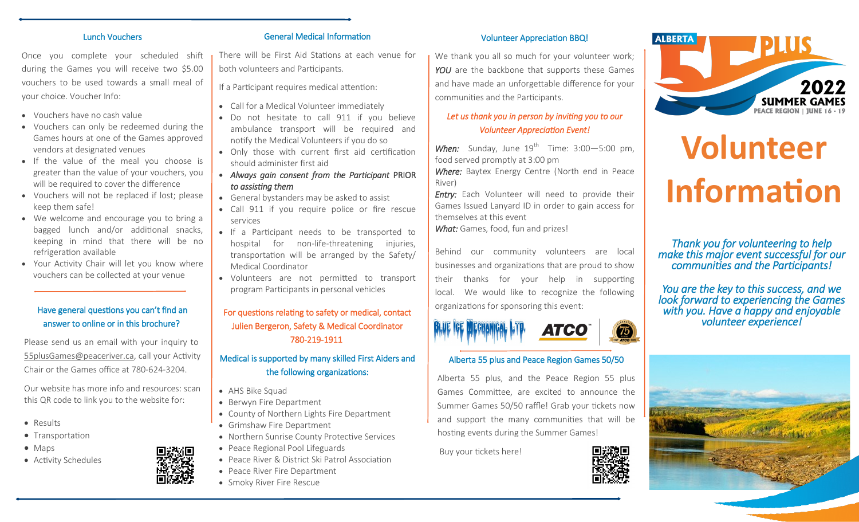#### Lunch Vouchers

Once you complete your scheduled shift during the Games you will receive two \$5.00 vouchers to be used towards a small meal of your choice. Voucher Info:

- Vouchers have no cash value
- Vouchers can only be redeemed during the Games hours at one of the Games approved vendors at designated venues
- If the value of the meal you choose is greater than the value of your vouchers, you will be required to cover the difference
- Vouchers will not be replaced if lost; please keep them safe!
- We welcome and encourage you to bring a bagged lunch and/or additional snacks, keeping in mind that there will be no refrigeration available
- Your Activity Chair will let you know where vouchers can be collected at your venue

## Have general questions you can't find an answer to online or in this brochure?

Please send us an email with your inquiry to  [55plusGames@peaceriver.ca,](mailto:55plusgames@peaceriver.ca) call your Activity Chair or the Games office at 780-624-3204.

Our website has more info and resources: scan this QR code to link you to the website for:

- Results
- Transportation
- Maps
- Activity Schedules

#### General Medical Information

There will be First Aid Stations at each venue for both volunteers and Participants.

If a Participant requires medical attention:

- Call for a Medical Volunteer immediately
- Do not hesitate to call 911 if you believe ambulance transport will be required and notify the Medical Volunteers if you do so
- Only those with current first aid certification should administer first aid
- *Always gain consent from the Participant* PRIOR *to assisting them*
- General bystanders may be asked to assist
- Call 911 if you require police or fire rescue services
- If a Participant needs to be transported to hospital for non-life-threatening injuries, transportation will be arranged by the Safety/ Medical Coordinator
- Volunteers are not permitted to transport program Participants in personal vehicles

# For questions relating to safety or medical, contact Julien Bergeron, Safety & Medical Coordinator 780-219-1911

## Medical is supported by many skilled First Aiders and the following organizations:

- AHS Bike Squad
- Berwyn Fire Department
- County of Northern Lights Fire Department
- Grimshaw Fire Department
- Northern Sunrise County Protective Services
- Peace Regional Pool Lifeguards
- Peace River & District Ski Patrol Association
- Peace River Fire Department
- Smoky River Fire Rescue

#### Volunteer Appreciation BBQ!

We thank you all so much for your volunteer work; YOU are the backbone that supports these Games and have made an unforgettable difference for your communities and the Participants.

# *Let us thank you in person by inviting you to our Volunteer Appreciation Event!*

**When:** Sunday, June 19<sup>th</sup> Time: 3:00-5:00 pm, food served promptly at 3:00 pm

*Where:* Baytex Energy Centre (North end in Peace River)

**Entry:** Each Volunteer will need to provide their Games Issued Lanyard ID in order to gain access for themselves at this event

*What:* Games, food, fun and prizes!

Behind our community volunteers are local businesses and organizations that are proud to show their thanks for your help in supporting local. We would like to recognize the following organizations for sponsoring this event:



#### Alberta 55 plus and Peace Region Games 50/50

Alberta 55 plus, and the Peace Region 55 plus Games Committee, are excited to announce the Summer Games 50/50 raffle! Grab your tickets now and support the many communities that will be hosting events during the Summer Games!

Buy your tickets here!





# **Volunteer Information**

*Thank you for volunteering to help make this major event successful for our communities and the Participants!* 

*You are the key to this success, and we look forward to experiencing the Games with you. Have a happy and enjoyable volunteer experience!*